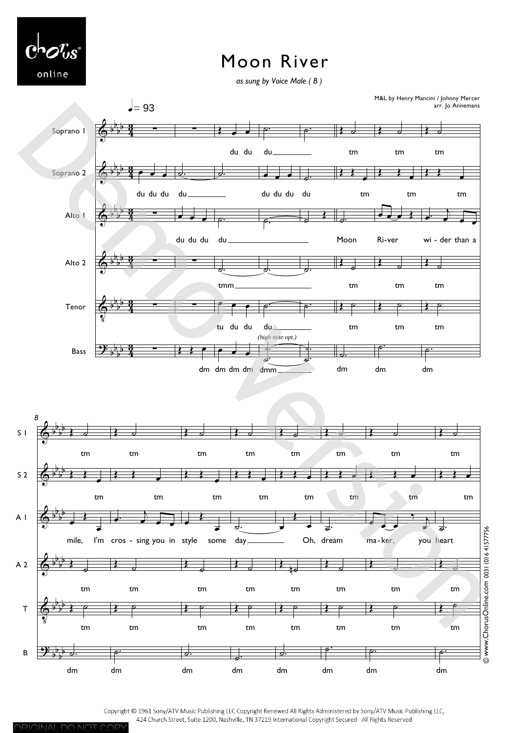

## Moon River

as sung by Voice Male (B)



Copyright © 1961 Sony/ATV Music Publishing LLC Copyright Renewed All Rights Administered by Sony/ATV Music Publishing LLC, 424 Church Street, Suite 1200, Nashville, TN 37219 International Copyright Secured All Rights Reserved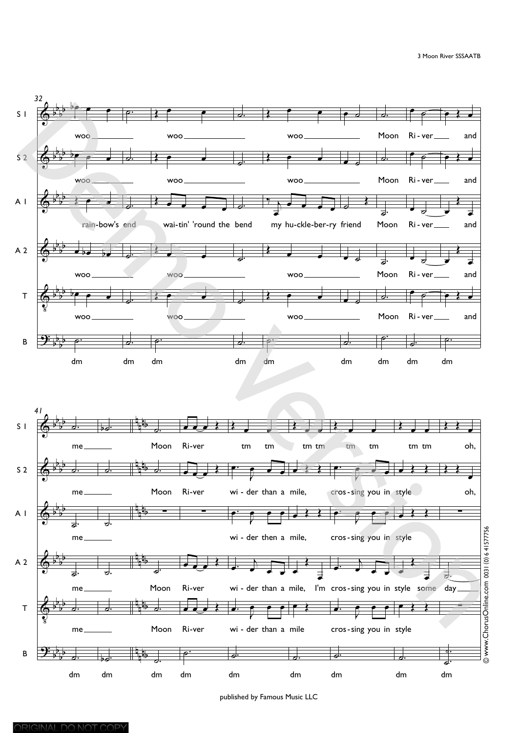

published by Famous Music LLC